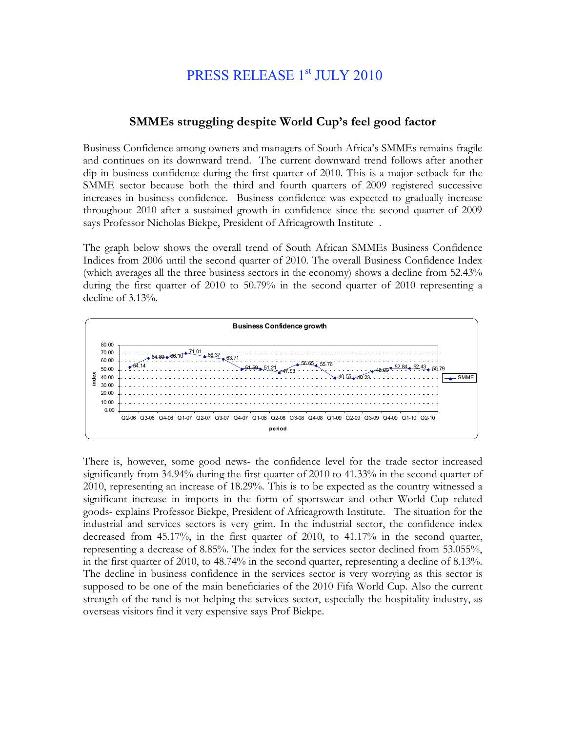## PRESS RELEASE 1st JULY 2010

## **SMMEs struggling despite World Cup's feel good factor**

Business Confidence among owners and managers of South Africa's SMMEs remains fragile and continues on its downward trend. The current downward trend follows after another dip in business confidence during the first quarter of 2010. This is a major setback for the SMME sector because both the third and fourth quarters of 2009 registered successive increases in business confidence. Business confidence was expected to gradually increase throughout 2010 after a sustained growth in confidence since the second quarter of 2009 says Professor Nicholas Biekpe, President of Africagrowth Institute .

The graph below shows the overall trend of South African SMMEs Business Confidence Indices from 2006 until the second quarter of 2010. The overall Business Confidence Index (which averages all the three business sectors in the economy) shows a decline from 52.43% during the first quarter of 2010 to 50.79% in the second quarter of 2010 representing a decline of 3.13%.



There is, however, some good news- the confidence level for the trade sector increased significantly from 34.94% during the first quarter of 2010 to 41.33% in the second quarter of 2010, representing an increase of 18.29%. This is to be expected as the country witnessed a significant increase in imports in the form of sportswear and other World Cup related goods- explains Professor Biekpe, President of Africagrowth Institute. The situation for the industrial and services sectors is very grim. In the industrial sector, the confidence index decreased from 45.17%, in the first quarter of 2010, to 41.17% in the second quarter, representing a decrease of 8.85%. The index for the services sector declined from 53.055%, in the first quarter of 2010, to 48.74% in the second quarter, representing a decline of 8.13%. The decline in business confidence in the services sector is very worrying as this sector is supposed to be one of the main beneficiaries of the 2010 Fifa World Cup. Also the current strength of the rand is not helping the services sector, especially the hospitality industry, as overseas visitors find it very expensive says Prof Biekpe.